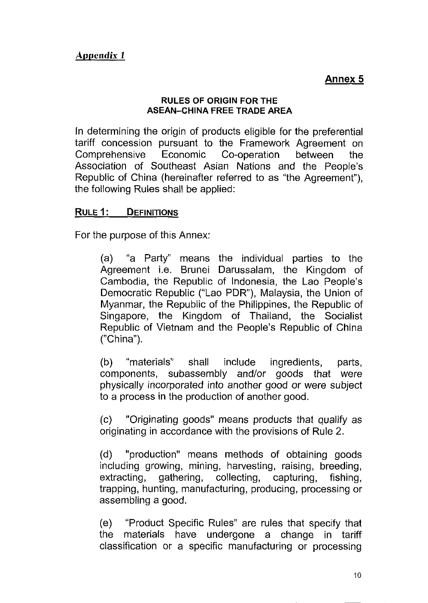**Annex 5**

#### **RULES OF ORIGIN FOR THE ASEAN-CHINA FREE TRADE AREA**

In determining the origin of products eligible for the preferential tariff concession pursuant to the Framework Agreement on Comprehensive Economic Co-operation between the Association of Southeast Asian Nations and the People's Republic of China (hereinafter referred to as "the Agreement"), the following Rules shall be applied:

#### **RULE1:** DEFINITIONS

For the purpose of this Annex:

(a) "a Party" means the individual parties to the Agreement i.e. Brunei Darussalam, the Kingdom of Cambodia, the Republic of Indonesia, the Lao People's Democratic Republic ("Lao PDR"), Malaysia, the Union of Myanmar, the Republic of the Philippines, the Republic of Singapore, the Kingdom of Thailand, the Socialist Republic of Vietnam and the People's Republic of China ("China").

(b) "materials" shall include ingredients, parts, components, subassembly and/or goods that were physically incorporated into another good or were subject to a process in the production of another good.

(c) "Originating goods" means products that qualify as originating in accordance with the provisions of Rule 2.

(d) "production" means methods of obtaining goods including growing, mining, harvesting, raising, breeding, extracting, gathering, collecting, capturing, fishing, trapping, hunting, manufacturing, producing, processing or assembling a good.

(e) "Product Specific Rules" are rules that specify that the materials have undergone a change in tariff classification or a specific manufacturing or processing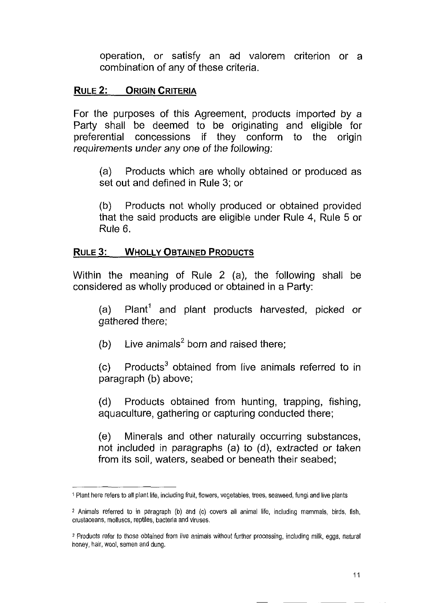operation, or satisfy an ad valorem criterion or a combination of any of these criteria.

#### RULE 2: ORIGIN CRITERIA

For the purposes of this Agreement, products imported by a Party shall be deemed to be originating and eligible for preferential concessions if they conform to the origin requirements under any one of the following;

(a) Products which are wholly obtained or produced as set out and defined in Rule 3; or

(b) Products not wholly produced or obtained provided that the said products are eligible under Rule 4, Rule 5 or Rule 6.

#### RULE 3: WHOLLY OBTAINED PRODUCTS

Within the meaning of Rule 2 (a), the following shall be considered as wholly produced or obtained in a Party:

(a)  $\,$  Plant $^{1}$  and plant products harvested, picked or gathered there;

(b) Live animals<sup>2</sup> born and raised there;

(c)  $P$ roducts<sup>3</sup> obtained from live animals referred to in paragraph (b) above;

(d) Products obtained from hunting, trapping, fishing, aquaculture, gathering or capturing conducted there;

(e) Minerals and other naturally occurring substances, not included in paragraphs (a) to (d), extracted or taken from its soil, waters, seabed or beneath their seabed;

<sup>1</sup> Plant here refers to all plant life, including fruit, flowers, vegetables, trees, seaweed, fungi and live plants

*<sup>2</sup>* Animals referred to in paragraph (b) and (c) covers all animal life, including mammals, birds, fish, crustaceans, molluscs, reptiles, bacteria and viruses,

<sup>3</sup> Products refer to those obtained from live animals without further processing, including milk, eggs, natural honey, hair, wool, semen and dung.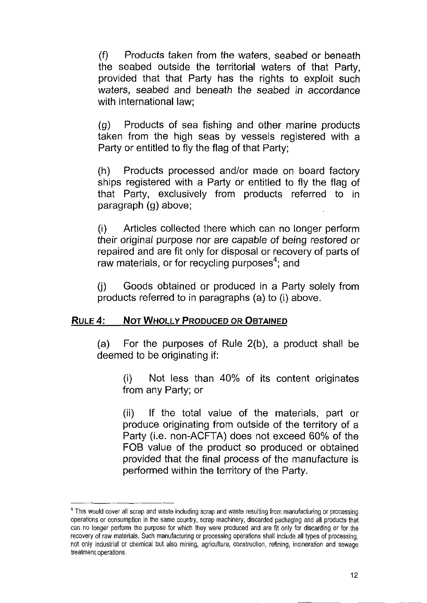(f) Products taken from the waters, seabed or beneath the seabed outside the territorial waters of that Party, provided that that Party has the rights to exploit such waters, seabed and beneath the seabed in accordance with international law;

(g) Products of sea fishing and other marine products taken from the high seas by vessels registered with a Party or entitled to fly the flag of that Party;

(h) Products processed and/or made on board factory ships registered with a Party or entitled to fly the flag of that Party, exclusively from products referred to in paragraph (g) above;

(i) Articles collected there which can no longer perform their original purpose nor are capable of being restored or repaired and are fit only for disposal or recovery of parts of raw materials, or for recycling purposes $^4$ ; and

(j) Goods obtained or produced in a Party solely from products referred to in paragraphs (a) to (i) above.

#### RULE 4: NOT WHOLLY PRODUCED OR OBTAINED

(a) For the purposes of Rule 2(b), a product shall be deemed to be originating if:

(i) Not less than 40% of its content originates from any Party; or

(ii) If the total value of the materials, part or produce originating from outside of the territory of a Party (i.e. non-ACFTA) does not exceed 60% of the FOB value of the product so produced or obtained provided that the final process of the manufacture is performed within the territory of the Party.

<sup>&</sup>lt;sup>4</sup> This would cover all scrap and waste including scrap and waste resulting from manufacturing or processing operations or consumption in the same country, scrap machinery, discarded packaging and all products that can no longer perform the purpose for which they were produced and are fit only for discarding or for the recovery of raw materials. Such manufacturing or processing operations shall include all types of processing, not only industrial or chemical but also mining, agriculture, construction, refining, incineration and sewage treatment operations.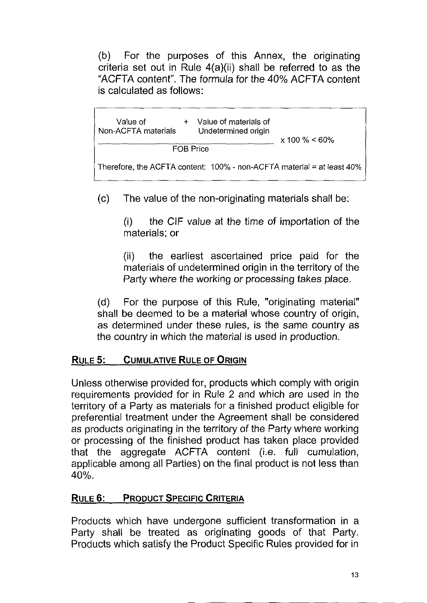(b) For the purposes of this Annex, the originating criteria set out in Rule 4(a)(ii) shall be referred to as the "ACFTA content". The formula for the 40% ACFTA content is calculated as follows:



(c) The value of the non-originating materials shall be:

(i) the GIF value at the time of importation of the materials; or

(ii) the earliest ascertained price paid for the materials of undetermined origin in the territory of the Party where the working or processing takes place.

(d) For the purpose of this Rule, "originating material" shall be deemed to be a material whose country of origin, as determined under these rules, is the same country as the country in which the material is used in production.

## RULE 5: CUMULATIVE RULE OF ORIGIN

Unless otherwise provided for, products which comply with origin requirements provided for in Rule 2 and which are used in the territory of a Party as materials for a finished product eligible for preferential treatment under the Agreement shall be considered as products originating in the territory of the Party where working or processing of the finished product has taken place provided that the aggregate ACFTA content (i.e. full cumulation, applicable among all Parties) on the final product is not less than 40%,

### RULE 6: PRODUCT SPECIFIC CRITERIA

Products which have undergone sufficient transformation in a Party shall be treated as originating goods of that Party. Products which satisfy the Product Specific Rules provided for in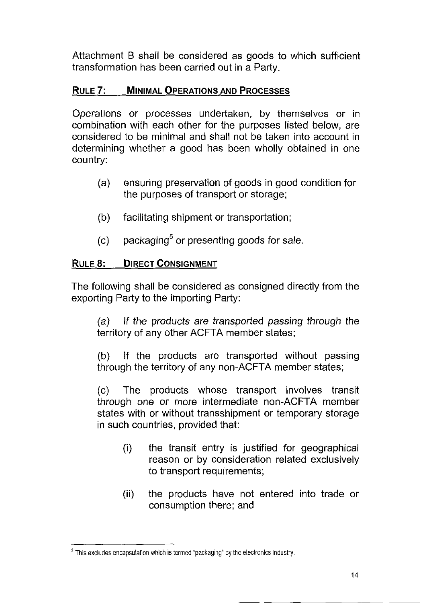Attachment B shall be considered as goods to which sufficient transformation has been carried out in a Party.

### RULE 7: MINIMAL OPERATIONS AND PROCESSES

Operations or processes undertaken, by themselves or in combination with each other for the purposes listed below, are considered to be minimal and shall not be taken into account in determining whether a good has been wholly obtained in one country:

- (a) ensuring preservation of goods in good condition for the purposes of transport or storage;
- (b) facilitating shipment or transportation;
- (c) packaging<sup>5</sup> or presenting goods for sale.

### RULE 8: DIRECT CONSIGNMENT

The following shall be considered as consigned directly from the exporting Party to the importing Party:

(a) If the products are transported passing through the territory of any other ACFTA member states;

(b) If the products are transported without passing through the territory of any non-ACFTA member states;

(c) The products whose transport involves transit through one or more intermediate non-ACFTA member states with or without transshipment or temporary storage in such countries, provided that:

- (i) the transit entry is justified for geographical reason or by consideration related exclusively to transport requirements;
- (ii) the products have not entered into trade or consumption there; and

 $<sup>5</sup>$  This excludes encapsulation which is termed "packaging" by the electronics industry.</sup>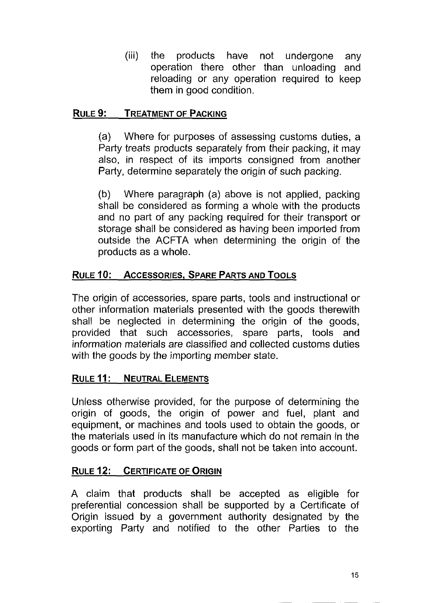(iii) the products have not undergone any operation there other than unloading and reloading or any operation required to keep them in good condition.

### RULE 9: TREATMENT OF PACKING

(a) Where for purposes of assessing customs duties, a Party treats products separately from their packing, it may also, in respect of its imports consigned from another Party, determine separately the origin of such packing.

(b) Where paragraph (a) above is not applied, packing shall be considered as forming a whole with the products and no part of any packing required for their transport or storage shall be considered as having been imported from outside the ACFTA when determining the origin of the products as a whole.

### RULE 10: ACCESSORIES, SPARE PARTS AND TOOLS

The origin of accessories, spare parts, tools and instructional or other information materials presented with the goods therewith shall be neglected in determining the origin of the goods, provided that such accessories, spare parts, tools and information materials are classified and collected customs duties with the goods by the importing member state.

#### RULE 11: NEUTRAL ELEMENTS

Unless otherwise provided, for the purpose of determining the origin of goods, the origin of power and fuel, plant and equipment, or machines and tools used to obtain the goods, or the materials used in its manufacture which do not remain in the goods or form part of the goods, shall not be taken into account.

#### RULE 12: CERTIFICATE OF ORIGIN

A claim that products shall be accepted as eligible for preferential concession shall be supported by a Certificate of Origin issued by a government authority designated by the exporting Party and notified to the other Parties to the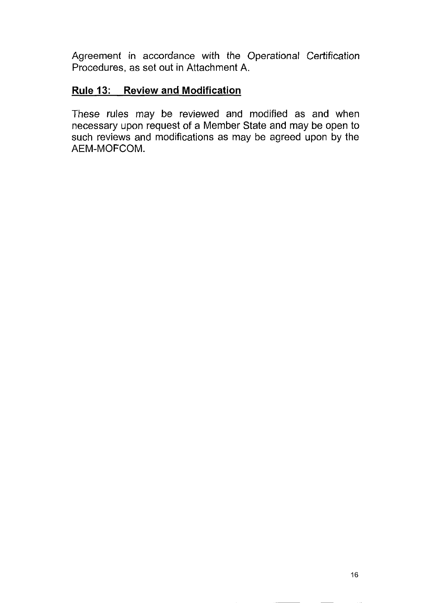Agreement in accordance with the Operational Certification Procedures, as set out in Attachment A.

### **Rule 13: Review and Modification**

These rules may be reviewed and modified as and when necessary upon request of a Member State and may be open to such reviews and modifications as may be agreed upon by the AEM-MOFCOM.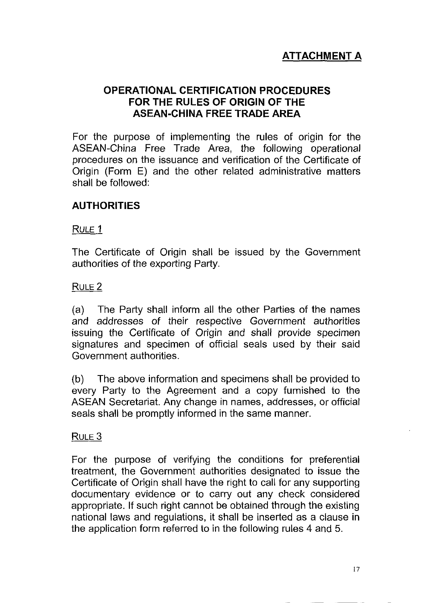# **ATTACHMENT A**

#### **OPERATIONAL CERTIFICATION PROCEDURES FOR THE RULES OF ORIGIN OF THE ASEAN-CHINA FREE TRADE AREA**

For the purpose of implementing the rules of origin for the ASEAN-China Free Trade Area, the following operational procedures on the issuance and verification of the Certificate of Origin (Form E) and the other related administrative matters shall be followed:

### **AUTHORITIES**

#### RULE 1

The Certificate of Origin shall be issued by the Government authorities of the exporting Party.

#### RULE 2

(a) The Party shall inform all the other Parties of the names and addresses of their respective Government authorities issuing the Certificate of Origin and shall provide specimen signatures and specimen of official seals used by their said Government authorities.

(b) The above information and specimens shall be provided to every Party to the Agreement and a copy furnished to the ASEAN Secretariat. Any change in names, addresses, or official seals shall be promptly informed in the same manner.

#### RULE 3

For the purpose of verifying the conditions for preferential treatment, the Government authorities designated to issue the Certificate of Origin shall have the right to call for any supporting documentary evidence or to carry out any check considered appropriate. If such right cannot be obtained through the existing national laws and regulations, it shall be inserted as a clause in the application form referred to in the following rules 4 and 5.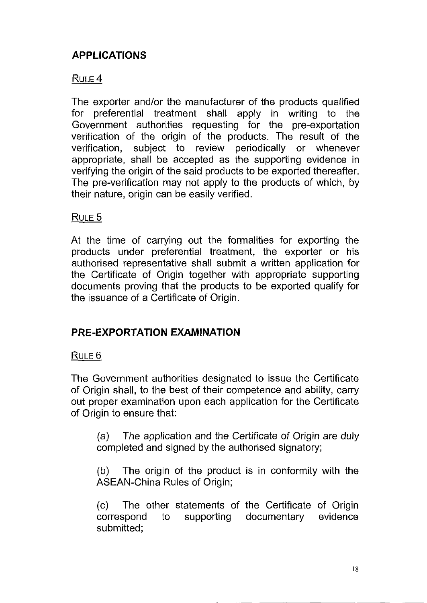# **APPLICATIONS**

### $RUTE 4$

The exporter and/or the manufacturer of the products qualified for preferential treatment shall apply in writing to the Government authorities requesting for the pre-exportation verification of the origin of the products. The result of the verification, subject to review periodically or whenever appropriate, shall be accepted as the supporting evidence in verifying the origin of the said products to be exported thereafter. The pre-verification may not apply to the products of which, by their nature, origin can be easily verified.

#### $R$ ULE 5

At the time of carrying out the formalities for exporting the products under preferential treatment, the exporter or his authorised representative shall submit a written application for the Certificate of Origin together with appropriate supporting documents proving that the products to be exported qualify for the issuance of a Certificate of Origin.

### **PRE-EXPORTATION EXAMINATION**

#### RULE<sub>6</sub>

The Government authorities designated to issue the Certificate of Origin shall, to the best of their competence and ability, carry out proper examination upon each application for the Certificate of Origin to ensure that:

(a) The application and the Certificate of Origin are duly completed and signed by the authorised signatory;

(b) The origin of the product is in conformity with the ASEAN-China Rules of Origin;

(c) The other statements of the Certificate of Origin correspond to supporting documentary evidence submitted;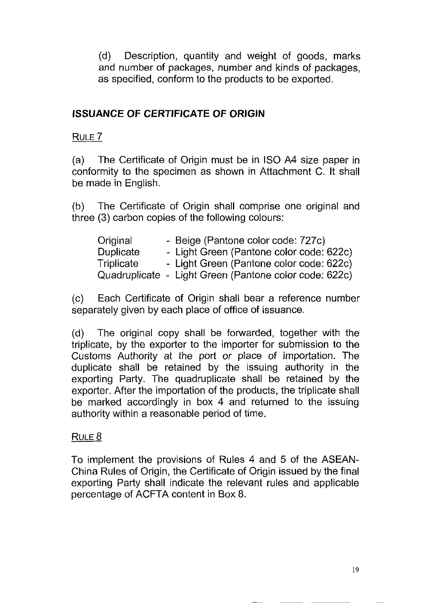(d) Description, quantity and weight of goods, marks and number of packages, number and kinds of packages, as specified, conform to the products to be exported.

### **ISSUANCE OF CERTIFICATE OF ORIGIN**

RULE 7

(a) The Certificate of Origin must be in ISO A4 size paper in conformity to the specimen as shown in Attachment C. It shall be made in English.

(b) The Certificate of Origin shall comprise one original and three (3) carbon copies of the following colours:

| Original         | - Beige (Pantone color code: 727c)                     |  |  |  |
|------------------|--------------------------------------------------------|--|--|--|
| <b>Duplicate</b> | - Light Green (Pantone color code: 622c)               |  |  |  |
| Triplicate       | - Light Green (Pantone color code: 622c)               |  |  |  |
|                  | Quadruplicate - Light Green (Pantone color code: 622c) |  |  |  |

(c) Each Certificate of Origin shall bear a reference number separately given by each place of office of issuance.

(d) The original copy shall be forwarded, together with the triplicate, by the exporter to the importer for submission to the Customs Authority at the port or place of importation. The duplicate shall be retained by the issuing authority in the exporting Party. The quadruplicate shall be retained by the exporter. After the importation of the products, the triplicate shall be marked accordingly in box 4 and returned to the issuing authority within a reasonable period of time.

#### RULE  $8$

To implement the provisions of Rules 4 and 5 of the ASEAN-China Rules of Origin, the Certificate of Origin issued by the final exporting Party shall indicate the relevant rules and applicable percentage of ACFTA content in Box 8.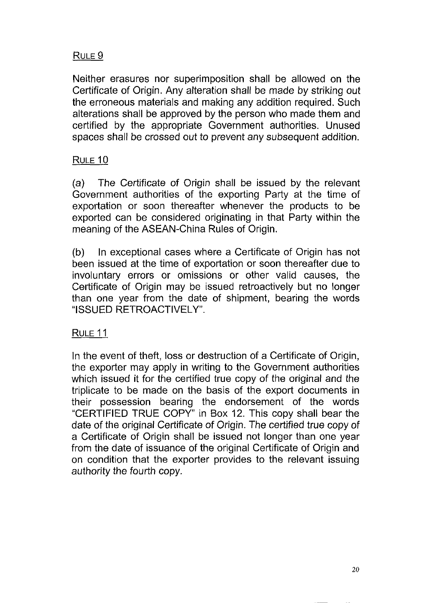### RULE 9

Neither erasures nor superimposition shall be allowed on the Certificate of Origin. Any alteration shall be made by striking out the erroneous materials and making any addition required. Such alterations shall be approved by the person who made them and certified by the appropriate Government authorities. Unused spaces shall be crossed out to prevent any subsequent addition.

#### RULE 10

(a) The Certificate of Origin shall be issued by the relevant Government authorities of the exporting Party at the time of exportation or soon thereafter whenever the products to be exported can be considered originating in that Party within the meaning of the ASEAN-China Rules of Origin.

(b) In exceptional cases where a Certificate of Origin has not been issued at the time of exportation or soon thereafter due to involuntary errors or omissions or other valid causes, the Certificate of Origin may be issued retroactively but no longer than one year from the date of shipment, bearing the words "ISSUED RETROACTIVELY".

#### RULE 11

In the event of theft, loss or destruction of a Certificate of Origin, the exporter may apply in writing to the Government authorities which issued it for the certified true copy of the original and the triplicate to be made on the basis of the export documents in their possession bearing the endorsement of the words "CERTIFIED TRUE COPY" in Box 12. This copy shall bear the date of the original Certificate of Origin. The certified true copy of a Certificate of Origin shall be issued not longer than one year from the date of issuance of the original Certificate of Origin and on condition that the exporter provides to the relevant issuing authority the fourth copy.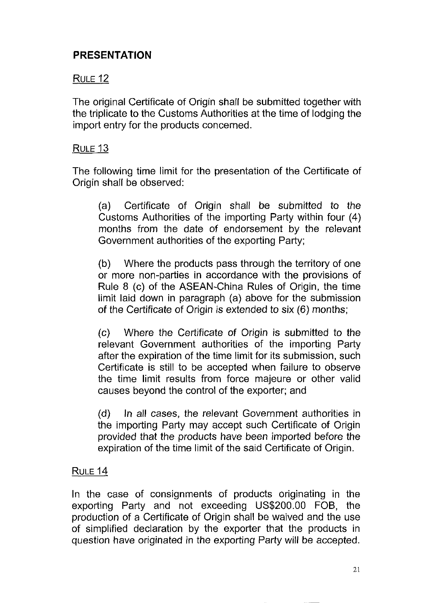### **PRESENTATION**

### **RULE 12**

The original Certificate of Origin shall be submitted together with the triplicate to the Customs Authorities at the time of lodging the import entry for the products concerned.

#### **RULE 13**

The following time limit for the presentation of the Certificate of Origin shall be observed:

(a) Certificate of Origin shall be submitted to the Customs Authorities of the importing Party within four (4) months from the date of endorsement by the relevant Government authorities of the exporting Party;

(b) Where the products pass through the territory of one or more non-parties in accordance with the provisions of Rule 8 (c) of the ASEAN-China Rules of Origin, the time limit laid down in paragraph (a) above for the submission of the Certificate of Origin is extended to six (6) months;

(c) Where the Certificate of Origin is submitted to the relevant Government authorities of the importing Party after the expiration of the time limit for its submission, such Certificate is still to be accepted when failure to observe the time limit results from force majeure or other valid causes beyond the control of the exporter; and

(d) In all cases, the relevant Government authorities in the importing Party may accept such Certificate of Origin provided that the products have been imported before the expiration of the time limit of the said Certificate of Origin.

### RULE 14

In the case of consignments of products originating in the exporting Party and not exceeding US\$200.00 FOB, the production of a Certificate of Origin shall be waived and the use of simplified declaration by the exporter that the products in question have originated in the exporting Party will be accepted.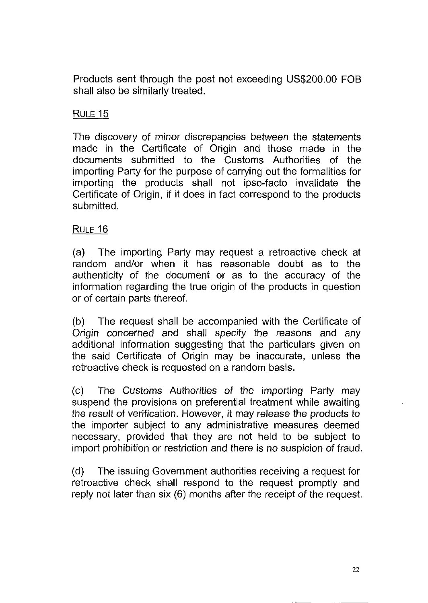Products sent through the post not exceeding US\$200.00 FOB shall also be similarly treated.

#### RULE 15

The discovery of minor discrepancies between the statements made in the Certificate of Origin and those made in the documents submitted to the Customs Authorities of the importing Party for the purpose of carrying out the formalities for importing the products shall not ipso-facto invalidate the Certificate of Origin, if it does in fact correspond to the products submitted.

### RULE 16

(a) The importing Party may request a retroactive check at random and/or when it has reasonable doubt as to the authenticity of the document or as to the accuracy of the information regarding the true origin of the products in question or of certain parts thereof.

(b) The request shall be accompanied with the Certificate of Origin concerned and shall specify the reasons and any additional information suggesting that the particulars given on the said Certificate of Origin may be inaccurate, unless the retroactive check is requested on a random basis.

(c) The Customs Authorities of the importing Party may suspend the provisions on preferential treatment while awaiting the result of verification. However, it may release the products to the importer subject to any administrative measures deemed necessary, provided that they are not held to be subject to import prohibition or restriction and there is no suspicion of fraud.

(d) The issuing Government authorities receiving a request for retroactive check shall respond to the request promptly and reply not later than six (6) months after the receipt of the request.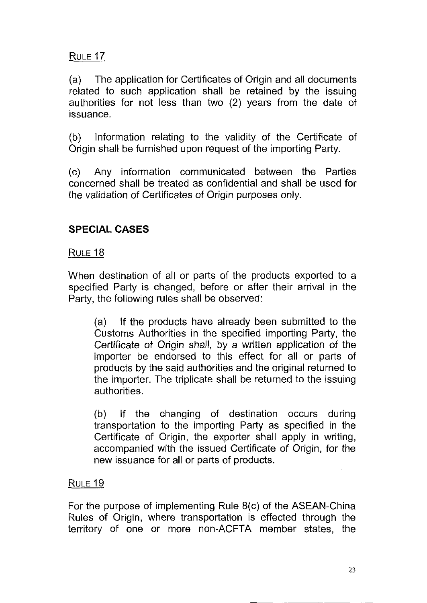RULE 17

(a) The application for Certificates of Origin and all documents related to such application shall be retained by the issuing authorities for not less than two (2) years from the date of issuance.

(b) Information relating to the validity of the Certificate of Origin shall be furnished upon request of the importing Party.

(c) Any information communicated between the Parties concerned shall be treated as confidential and shall be used for the validation of Certificates of Origin purposes only.

### **SPECIAL CASES**

RULE 18

When destination of all or parts of the products exported to a specified Party is changed, before or after their arrival in the Party, the following rules shall be observed:

(a) If the products have already been submitted to the Customs Authorities in the specified importing Party, the Certificate of Origin shall, by a written application of the importer be endorsed to this effect for all or parts of products by the said authorities and the original returned to the importer. The triplicate shall be returned to the issuing authorities.

(b) If the changing of destination occurs during transportation to the importing Party as specified in the Certificate of Origin, the exporter shall apply in writing, accompanied with the issued Certificate of Origin, for the new issuance for all or parts of products.

#### RULE 19

For the purpose of implementing Rule 8(c) of the ASEAN-China Rules of Origin, where transportation is effected through the territory of one or more non-ACFTA member states, the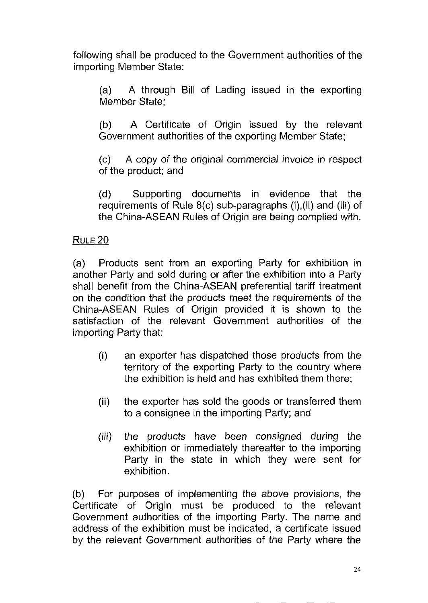following shall be produced to the Government authorities of the importing Member State:

(a) A through Bill of Lading issued in the exporting Member State;

(b) A Certificate of Origin issued by the relevant Government authorities of the exporting Member State;

(c) A copy of the original commercial invoice in respect of the product; and

(d) Supporting documents in evidence that the requirements of Rule  $8(c)$  sub-paragraphs  $(i)$ ,  $(ii)$  and  $(iii)$  of the China-ASEAN Rules of Origin are being complied with.

#### RULE 20

(a) Products sent from an exporting Party for exhibition in another Party and sold during or after the exhibition into a Party shall benefit from the China-ASEAN preferential tariff treatment on the condition that the products meet the requirements of the China-ASEAN Rules of Origin provided it is shown to the satisfaction of the relevant Government authorities of the importing Party that:

- (i) an exporter has dispatched those products from the territory of the exporting Party to the country where the exhibition is held and has exhibited them there;
- (ii) the exporter has sold the goods or transferred them to a consignee in the importing Party; and
- (iii) the products have been consigned during the exhibition or immediately thereafter to the importing Party in the state in which they were sent for exhibition.

(b) For purposes of implementing the above provisions, the Certificate of Origin must be produced to the relevant Government authorities of the importing Party. The name and address of the exhibition must be indicated, a certificate issued by the relevant Government authorities of the Party where the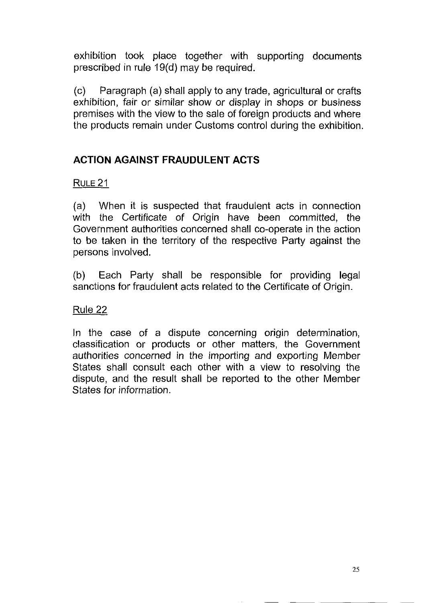exhibition took place together with supporting documents prescribed in rule 19(d) may be required.

(c) Paragraph (a) shall apply to any trade, agricultural or crafts exhibition, fair or similar show or display in shops or business premises with the view to the sale of foreign products and where the products remain under Customs control during the exhibition.

## **ACTION AGAINST FRAUDULENT ACTS**

## **RULE 21**

(a) When it is suspected that fraudulent acts in connection with the Certificate of Origin have been committed, the Government authorities concerned shall co-operate in the action to be taken in the territory of the respective Party against the persons involved.

(b) Each Party shall be responsible for providing legal sanctions for fraudulent acts related to the Certificate of Origin.

Rule 22

In the case of a dispute concerning origin determination, classification or products or other matters, the Government authorities concerned in the importing and exporting Member States shall consult each other with a view to resolving the dispute, and the result shall be reported to the other Member States for information.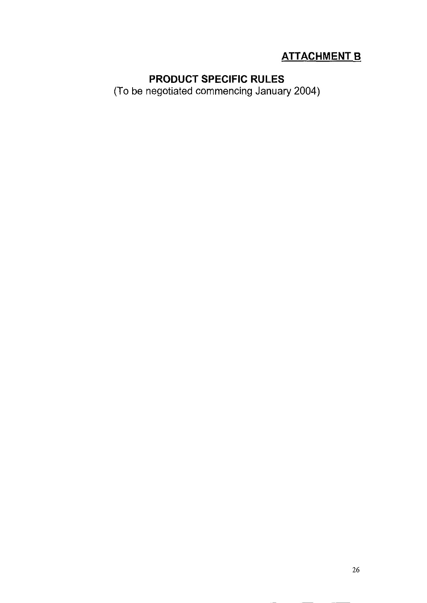# **ATTACHMENT B**

## **PRODUCT SPECIFIC RULES**

(To be negotiated commencing January 2004)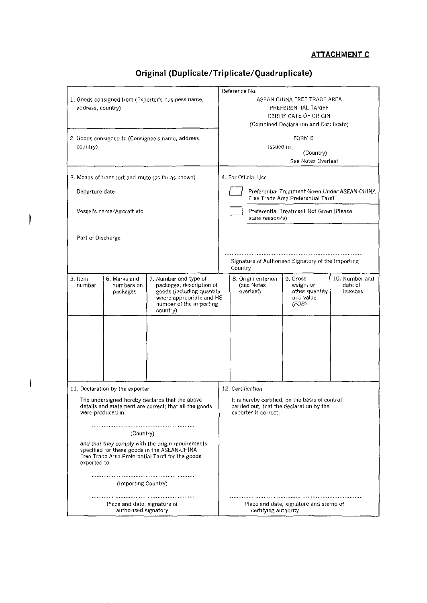#### **ATTACHMENT C**

| 1. Goods consigned from (Exporter's business name,<br>address, country)                                                                                               |                                        |                                                                                                                                                   | Reference No.<br>ASEAN-CHINA FREE TRADE AREA<br>PREFERENTIAL TARIFF<br><b>CERTIFICATE OF ORIGIN</b><br>(Combined Declaration and Certificate) |  |                                                |                                                                                             |                                       |
|-----------------------------------------------------------------------------------------------------------------------------------------------------------------------|----------------------------------------|---------------------------------------------------------------------------------------------------------------------------------------------------|-----------------------------------------------------------------------------------------------------------------------------------------------|--|------------------------------------------------|---------------------------------------------------------------------------------------------|---------------------------------------|
| 2. Goods consigned to (Consignee's name, address,<br>country)                                                                                                         |                                        |                                                                                                                                                   | <b>FORM E</b><br>Issued in $-$<br>(Country)<br>See Notes Overleaf                                                                             |  |                                                |                                                                                             |                                       |
|                                                                                                                                                                       |                                        | 3. Means of transport and route (as far as known)                                                                                                 |                                                                                                                                               |  | 4. For Official Use                            |                                                                                             |                                       |
| Departure date                                                                                                                                                        |                                        |                                                                                                                                                   | Preferential Treatment Given Under ASEAN-CHINA<br>Free Trade Area Preferential Tariff                                                         |  |                                                |                                                                                             |                                       |
| Vessel's name/Aircraft etc.                                                                                                                                           |                                        |                                                                                                                                                   | Preferential Treatment Not Given (Please<br>state reason/s)                                                                                   |  |                                                |                                                                                             |                                       |
| Port of Discharge                                                                                                                                                     |                                        | Signature of Authorised Signatory of the Importing<br>Country                                                                                     |                                                                                                                                               |  |                                                |                                                                                             |                                       |
| 5. Item<br>number                                                                                                                                                     | 6. Marks and<br>numbers on<br>packages | 7. Number and type of<br>packages, description of<br>goods (including quantity<br>where appropriate and HS<br>number of the importing<br>country) |                                                                                                                                               |  | 8. Origin criterion<br>(see Notes<br>overleaf) | 9. Gross<br>weight or<br>other quantity<br>and value<br>(FOB)                               | 10. Number and<br>date of<br>invotces |
|                                                                                                                                                                       |                                        |                                                                                                                                                   |                                                                                                                                               |  |                                                |                                                                                             |                                       |
|                                                                                                                                                                       | 11. Declaration by the exporter        |                                                                                                                                                   |                                                                                                                                               |  | 12. Certification                              |                                                                                             |                                       |
| The undersigned hereby declares that the above<br>details and statement are correct; that all the goods<br>were produced in                                           |                                        |                                                                                                                                                   |                                                                                                                                               |  | exporter is correct.                           | It is hereby certified, on the basis of control<br>carried out, that the declaration by the |                                       |
| (Country)                                                                                                                                                             |                                        |                                                                                                                                                   |                                                                                                                                               |  |                                                |                                                                                             |                                       |
| and that they comply with the origin requirements<br>specified for these goods in the ASEAN-CHINA<br>Free Trade Area Preferential Tariff for the goods<br>exported to |                                        |                                                                                                                                                   |                                                                                                                                               |  |                                                |                                                                                             |                                       |
| (Importing Country)                                                                                                                                                   |                                        |                                                                                                                                                   |                                                                                                                                               |  |                                                |                                                                                             |                                       |
| Place and date, signature of<br>authorised signatory                                                                                                                  |                                        |                                                                                                                                                   |                                                                                                                                               |  | certifying authority                           | Place and date, signature and stamp of                                                      |                                       |

ł

 $\mathbf{I}$ 

# **Original (Duplicate/Triplicate/Quadruplicate)**